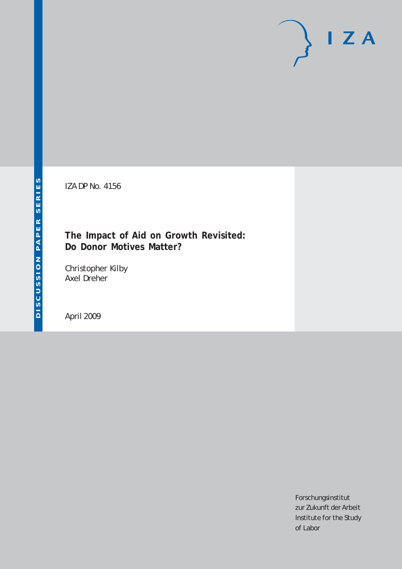# $I Z A$

IZA DP No. 4156

# **The Impact of Aid on Growth Revisited: Do Donor Motives Matter?**

Christopher Kilby Axel Dreher

April 2009

Forschungsinstitut zur Zukunft der Arbeit Institute for the Study of Labor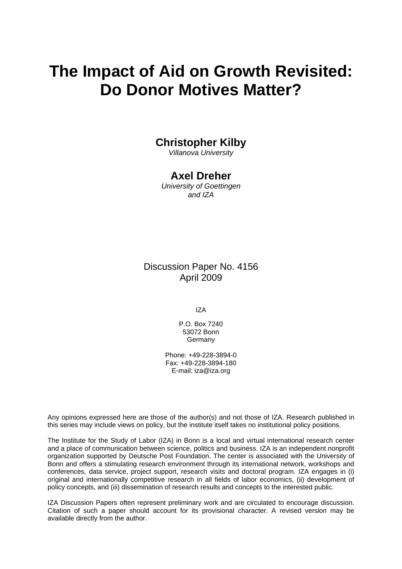# **The Impact of Aid on Growth Revisited: Do Donor Motives Matter?**

# **Christopher Kilby**

*Villanova University* 

## **Axel Dreher**

*University of Goettingen and IZA* 

Discussion Paper No. 4156 April 2009

IZA

P.O. Box 7240 53072 Bonn Germany

Phone: +49-228-3894-0 Fax: +49-228-3894-180 E-mail: [iza@iza.org](mailto:iza@iza.org)

Any opinions expressed here are those of the author(s) and not those of IZA. Research published in this series may include views on policy, but the institute itself takes no institutional policy positions.

The Institute for the Study of Labor (IZA) in Bonn is a local and virtual international research center and a place of communication between science, politics and business. IZA is an independent nonprofit organization supported by Deutsche Post Foundation. The center is associated with the University of Bonn and offers a stimulating research environment through its international network, workshops and conferences, data service, project support, research visits and doctoral program. IZA engages in (i) original and internationally competitive research in all fields of labor economics, (ii) development of policy concepts, and (iii) dissemination of research results and concepts to the interested public.

IZA Discussion Papers often represent preliminary work and are circulated to encourage discussion. Citation of such a paper should account for its provisional character. A revised version may be available directly from the author.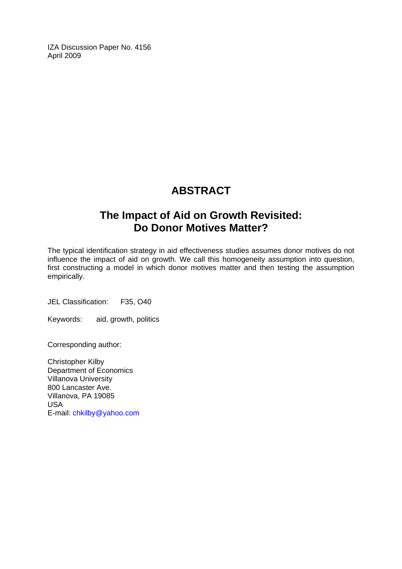IZA Discussion Paper No. 4156 April 2009

# **ABSTRACT**

# **The Impact of Aid on Growth Revisited: Do Donor Motives Matter?**

The typical identification strategy in aid effectiveness studies assumes donor motives do not influence the impact of aid on growth. We call this homogeneity assumption into question, first constructing a model in which donor motives matter and then testing the assumption empirically.

JEL Classification: F35, O40

Keywords: aid, growth, politics

Corresponding author:

Christopher Kilby Department of Economics Villanova University 800 Lancaster Ave. Villano[va, PA 19085](mailto:axel.dreher@uni-goettingen.de)  USA E-mail: chkilby@yahoo.com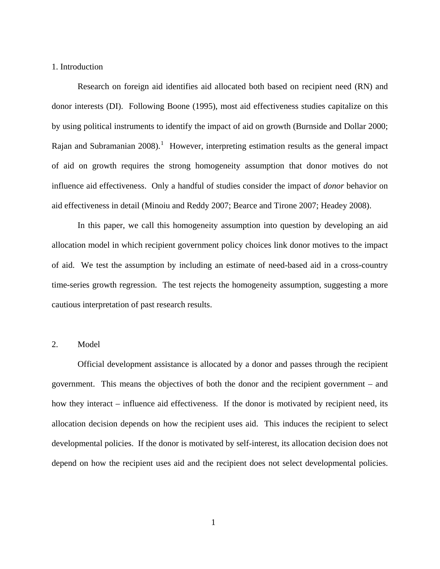### 1. Introduction

 Research on foreign aid identifies aid allocated both based on recipient need (RN) and donor interests (DI). Following Boone (1995), most aid effectiveness studies capitalize on this by using political instruments to identify the impact of aid on growth (Burnside and Dollar 2000; Rajan and Subramanian  $2008$ ).<sup>[1](#page-3-0)</sup> However, interpreting estimation results as the general impact of aid on growth requires the strong homogeneity assumption that donor motives do not influence aid effectiveness. Only a handful of studies consider the impact of *donor* behavior on aid effectiveness in detail (Minoiu and Reddy 2007; Bearce and Tirone 2007; Headey 2008).

 In this paper, we call this homogeneity assumption into question by developing an aid allocation model in which recipient government policy choices link donor motives to the impact of aid. We test the assumption by including an estimate of need-based aid in a cross-country time-series growth regression. The test rejects the homogeneity assumption, suggesting a more cautious interpretation of past research results.

### 2. Model

<span id="page-3-0"></span> Official development assistance is allocated by a donor and passes through the recipient government. This means the objectives of both the donor and the recipient government – and how they interact – influence aid effectiveness. If the donor is motivated by recipient need, its allocation decision depends on how the recipient uses aid. This induces the recipient to select developmental policies. If the donor is motivated by self-interest, its allocation decision does not depend on how the recipient uses aid and the recipient does not select developmental policies.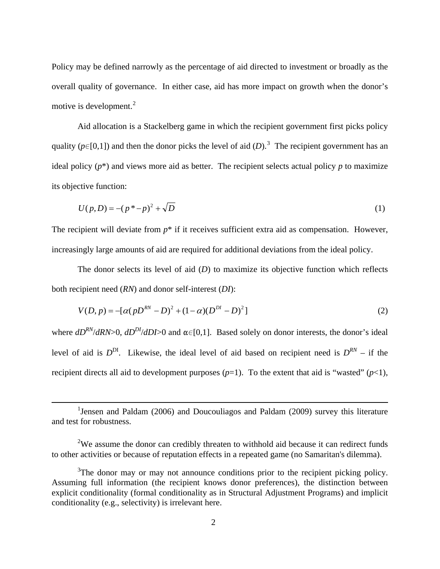<span id="page-4-0"></span>Policy may be defined narrowly as the percentage of aid directed to investment or broadly as the overall quality of governance. In either case, aid has more impact on growth when the donor's motive is development.<sup>[2](#page-4-0)</sup>

 Aid allocation is a Stackelberg game in which the recipient government first picks policy quality ( $p \in [0,1]$ ) and then the donor picks the level of aid (D).<sup>[3](#page-4-1)</sup> The recipient government has an ideal policy  $(p^*)$  and views more aid as better. The recipient selects actual policy *p* to maximize its objective function:

$$
U(p,D) = -(p^* - p)^2 + \sqrt{D}
$$
 (1)

The recipient will deviate from  $p^*$  if it receives sufficient extra aid as compensation. However, increasingly large amounts of aid are required for additional deviations from the ideal policy.

 The donor selects its level of aid (*D*) to maximize its objective function which reflects both recipient need (*RN*) and donor self-interest (*DI*):

$$
V(D, p) = -[\alpha (pD^{RN} - D)^{2} + (1 - \alpha)(D^{DI} - D)^{2}]
$$
\n(2)

where  $dD^{RN}/dRN>0$ ,  $dD^{DI}/dDI>0$  and  $\alpha \in [0,1]$ . Based solely on donor interests, the donor's ideal level of aid is  $D^{DI}$ . Likewise, the ideal level of aid based on recipient need is  $D^{RN}$  – if the recipient directs all aid to development purposes  $(p=1)$ . To the extent that aid is "wasted"  $(p<1)$ ,

<sup>&</sup>lt;u>1</u> <sup>1</sup> Jensen and Paldam (2006) and Doucouliagos and Paldam (2009) survey this literature and test for robustness.

 $2$ We assume the donor can credibly threaten to withhold aid because it can redirect funds to other activities or because of reputation effects in a repeated game (no Samaritan's dilemma).

<span id="page-4-1"></span><sup>&</sup>lt;sup>3</sup>The donor may or may not announce conditions prior to the recipient picking policy. Assuming full information (the recipient knows donor preferences), the distinction between explicit conditionality (formal conditionality as in Structural Adjustment Programs) and implicit conditionality (e.g., selectivity) is irrelevant here.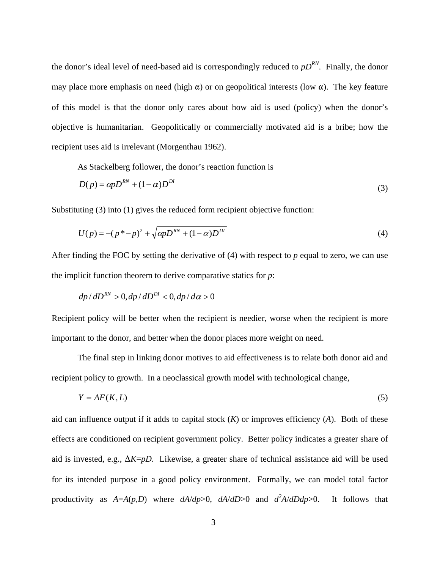the donor's ideal level of need-based aid is correspondingly reduced to  $pD^{RN}$ . Finally, the donor may place more emphasis on need (high  $\alpha$ ) or on geopolitical interests (low  $\alpha$ ). The key feature of this model is that the donor only cares about how aid is used (policy) when the donor's objective is humanitarian. Geopolitically or commercially motivated aid is a bribe; how the recipient uses aid is irrelevant (Morgenthau 1962).

As Stackelberg follower, the donor's reaction function is

$$
D(p) = \alpha p D^{RN} + (1 - \alpha) D^{DI}
$$
\n<sup>(3)</sup>

Substituting (3) into (1) gives the reduced form recipient objective function:

$$
U(p) = -(p^* - p)^2 + \sqrt{\alpha p D^{RN} + (1 - \alpha) D^{DI}}
$$
 (4)

After finding the FOC by setting the derivative of (4) with respect to *p* equal to zero, we can use the implicit function theorem to derive comparative statics for *p*:

$$
dp/dD^{RN} > 0, dp/dD^{DI} < 0, dp/d\alpha > 0
$$

Recipient policy will be better when the recipient is needier, worse when the recipient is more important to the donor, and better when the donor places more weight on need.

 The final step in linking donor motives to aid effectiveness is to relate both donor aid and recipient policy to growth. In a neoclassical growth model with technological change,

$$
Y = AF(K, L) \tag{5}
$$

aid can influence output if it adds to capital stock (*K*) or improves efficiency (*A*). Both of these effects are conditioned on recipient government policy. Better policy indicates a greater share of aid is invested, e.g.,  $\Delta K = pD$ . Likewise, a greater share of technical assistance aid will be used for its intended purpose in a good policy environment. Formally, we can model total factor productivity as  $A=A(p,D)$  where  $dA/dp>0$ ,  $dA/dD>0$  and  $d^2A/dDdp>0$ . It follows that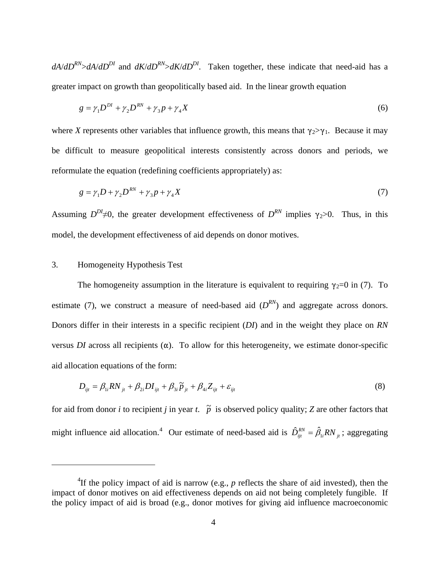$dA/dD^{RN} > dA/dD^{DI}$  and  $dK/dD^{RN} > dK/dD^{DI}$ . Taken together, these indicate that need-aid has a greater impact on growth than geopolitically based aid. In the linear growth equation

$$
g = \gamma_1 D^{DI} + \gamma_2 D^{RN} + \gamma_3 p + \gamma_4 X \tag{6}
$$

where *X* represents other variables that influence growth, this means that  $\gamma_2 > \gamma_1$ . Because it may be difficult to measure geopolitical interests consistently across donors and periods, we reformulate the equation (redefining coefficients appropriately) as:

$$
g = \gamma_1 D + \gamma_2 D^{RN} + \gamma_3 p + \gamma_4 X \tag{7}
$$

Assuming  $D^{D} \neq 0$ , the greater development effectiveness of  $D^{RN}$  implies  $\gamma_2 > 0$ . Thus, in this model, the development effectiveness of aid depends on donor motives.

### 3. Homogeneity Hypothesis Test

 $\overline{a}$ 

The homogeneity assumption in the literature is equivalent to requiring  $\gamma_2=0$  in (7). To estimate (7), we construct a measure of need-based aid  $(D^{RN})$  and aggregate across donors. Donors differ in their interests in a specific recipient (*DI*) and in the weight they place on *RN* versus *DI* across all recipients  $(\alpha)$ . To allow for this heterogeneity, we estimate donor-specific aid allocation equations of the form:

$$
D_{ijt} = \beta_{1i} RN_{jt} + \beta_{2i} DI_{ijt} + \beta_{3i} \tilde{p}_{jt} + \beta_{4i} Z_{ijt} + \varepsilon_{ijt}
$$
\n(8)

for aid from donor *i* to recipient *j* in year *t*.  $\tilde{p}$  is observed policy quality; *Z* are other factors that might influence aid allocation.<sup>[4](#page-6-0)</sup> Our estimate of need-based aid is  $\hat{D}_{ijt}^{RN} = \hat{\beta}_{1i}RN_{jt}$ ; aggregating

<span id="page-6-0"></span><sup>&</sup>lt;sup>4</sup>If the policy impact of aid is narrow (e.g.,  $p$  reflects the share of aid invested), then the impact of donor motives on aid effectiveness depends on aid not being completely fungible. If the policy impact of aid is broad (e.g., donor motives for giving aid influence macroeconomic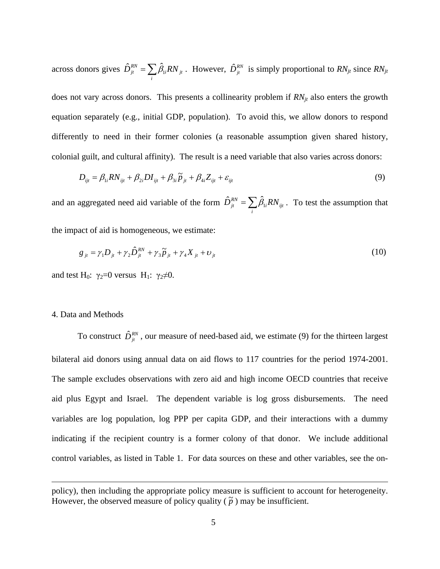across donors gives  $\hat{D}_{ji}^{RN} = \sum_i \hat{\beta}_{1i} RN_{ji}$ . However,  $\hat{D}_{ji}^{RN}$  is simply proportional to *RN*  $\hat{D}_{jt}^{RN} = \sum \hat{\beta}_{1i} RN_{jt}$ . However,  $\hat{D}_{jt}^{RN}$  is simply proportional to  $RN_{jt}$  since  $RN_{jt}$ does not vary across donors. This presents a collinearity problem if  $RN_{jt}$  also enters the growth equation separately (e.g., initial GDP, population). To avoid this, we allow donors to respond differently to need in their former colonies (a reasonable assumption given shared history, colonial guilt, and cultural affinity). The result is a need variable that also varies across donors:

$$
D_{ijt} = \beta_{1i} RN_{ijt} + \beta_{2i} DI_{ijt} + \beta_{3i} \tilde{p}_{jt} + \beta_{4i} Z_{ijt} + \varepsilon_{ijt}
$$
\n(9)

and an aggregated need aid variable of the form  $\hat{D}_{ji}^{RN} = \sum_i$  $\hat{D}_{jt}^{RN} = \sum \hat{\beta}_{1i} RN_{ijt}$ . To test the assumption that

the impact of aid is homogeneous, we estimate:

$$
g_{jt} = \gamma_1 D_{jt} + \gamma_2 \hat{D}_{jt}^{RN} + \gamma_3 \tilde{p}_{jt} + \gamma_4 X_{jt} + \upsilon_{jt}
$$
\n(10)

and test H<sub>0</sub>:  $\gamma_2=0$  versus H<sub>1</sub>:  $\gamma_2\neq 0$ .

### 4. Data and Methods

To construct  $\hat{D}_{ji}^{RN}$ , our measure of need-based aid, we estimate (9) for the thirteen largest bilateral aid donors using annual data on aid flows to 117 countries for the period 1974-2001. The sample excludes observations with zero aid and high income OECD countries that receive aid plus Egypt and Israel. The dependent variable is log gross disbursements. The need variables are log population, log PPP per capita GDP, and their interactions with a dummy indicating if the recipient country is a former colony of that donor. We include additional control variables, as listed in Table 1. For data sources on these and other variables, see the on-

However, the observed measure of policy quality ( $\tilde{p}$ ) may be insufficient. policy), then including the appropriate policy measure is sufficient to account for heterogeneity.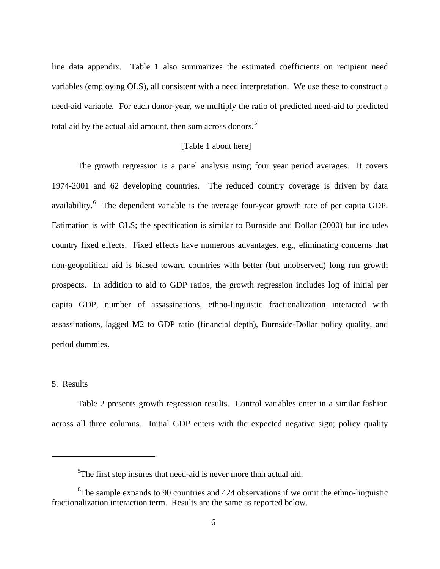line data appendix. Table 1 also summarizes the estimated coefficients on recipient need variables (employing OLS), all consistent with a need interpretation. We use these to construct a need-aid variable. For each donor-year, we multiply the ratio of predicted need-aid to predicted total aid by the actual aid amount, then sum across donors.<sup>[5](#page-8-0)</sup>

### [Table 1 about here]

 The growth regression is a panel analysis using four year period averages. It covers 1974-2001 and 62 developing countries. The reduced country coverage is driven by data availability.<sup>[6](#page-8-1)</sup> The dependent variable is the average four-year growth rate of per capita GDP. Estimation is with OLS; the specification is similar to Burnside and Dollar (2000) but includes country fixed effects. Fixed effects have numerous advantages, e.g., eliminating concerns that non-geopolitical aid is biased toward countries with better (but unobserved) long run growth prospects. In addition to aid to GDP ratios, the growth regression includes log of initial per capita GDP, number of assassinations, ethno-linguistic fractionalization interacted with assassinations, lagged M2 to GDP ratio (financial depth), Burnside-Dollar policy quality, and period dummies.

### 5. Results

 $\overline{a}$ 

 Table 2 presents growth regression results. Control variables enter in a similar fashion across all three columns. Initial GDP enters with the expected negative sign; policy quality

 $5$ The first step insures that need-aid is never more than actual aid.

<span id="page-8-1"></span><span id="page-8-0"></span><sup>&</sup>lt;sup>6</sup>The sample expands to 90 countries and 424 observations if we omit the ethno-linguistic fractionalization interaction term. Results are the same as reported below.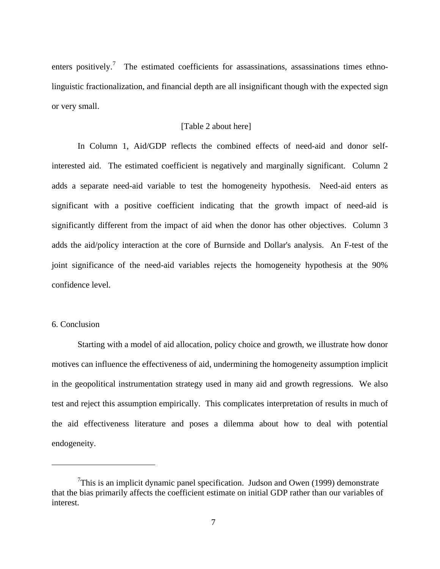enters positively.<sup>[7](#page-9-0)</sup> The estimated coefficients for assassinations, assassinations times ethnolinguistic fractionalization, and financial depth are all insignificant though with the expected sign or very small.

### [Table 2 about here]

 In Column 1, Aid/GDP reflects the combined effects of need-aid and donor selfinterested aid. The estimated coefficient is negatively and marginally significant. Column 2 adds a separate need-aid variable to test the homogeneity hypothesis. Need-aid enters as significant with a positive coefficient indicating that the growth impact of need-aid is significantly different from the impact of aid when the donor has other objectives. Column 3 adds the aid/policy interaction at the core of Burnside and Dollar's analysis. An F-test of the joint significance of the need-aid variables rejects the homogeneity hypothesis at the 90% confidence level.

### 6. Conclusion

 $\overline{a}$ 

 Starting with a model of aid allocation, policy choice and growth, we illustrate how donor motives can influence the effectiveness of aid, undermining the homogeneity assumption implicit in the geopolitical instrumentation strategy used in many aid and growth regressions. We also test and reject this assumption empirically. This complicates interpretation of results in much of the aid effectiveness literature and poses a dilemma about how to deal with potential endogeneity.

<span id="page-9-0"></span><sup>&</sup>lt;sup>7</sup>This is an implicit dynamic panel specification. Judson and Owen (1999) demonstrate that the bias primarily affects the coefficient estimate on initial GDP rather than our variables of interest.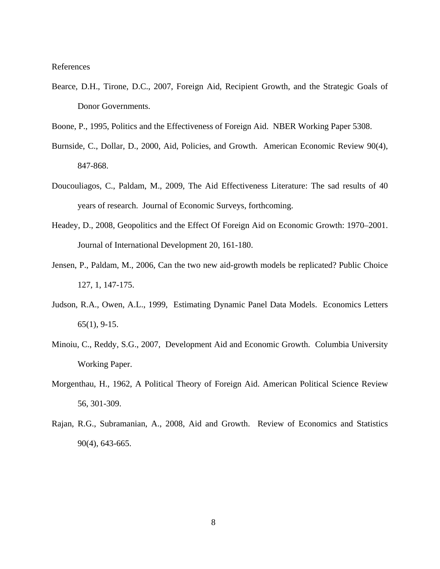References

- Bearce, D.H., Tirone, D.C., 2007, Foreign Aid, Recipient Growth, and the Strategic Goals of Donor Governments.
- Boone, P., 1995, Politics and the Effectiveness of Foreign Aid. NBER Working Paper 5308.
- Burnside, C., Dollar, D., 2000, Aid, Policies, and Growth. American Economic Review 90(4), 847-868.
- Doucouliagos, C., Paldam, M., 2009, The Aid Effectiveness Literature: The sad results of 40 years of research. Journal of Economic Surveys, forthcoming.
- Headey, D., 2008, Geopolitics and the Effect Of Foreign Aid on Economic Growth: 1970–2001. Journal of International Development 20, 161-180.
- Jensen, P., Paldam, M., 2006, Can the two new aid-growth models be replicated? Public Choice 127, 1, 147-175.
- Judson, R.A., Owen, A.L., 1999, Estimating Dynamic Panel Data Models. Economics Letters 65(1), 9-15.
- Minoiu, C., Reddy, S.G., 2007, Development Aid and Economic Growth. Columbia University Working Paper.
- Morgenthau, H., 1962, A Political Theory of Foreign Aid. American Political Science Review 56, 301-309.
- Rajan, R.G., Subramanian, A., 2008, Aid and Growth. Review of Economics and Statistics 90(4), 643-665.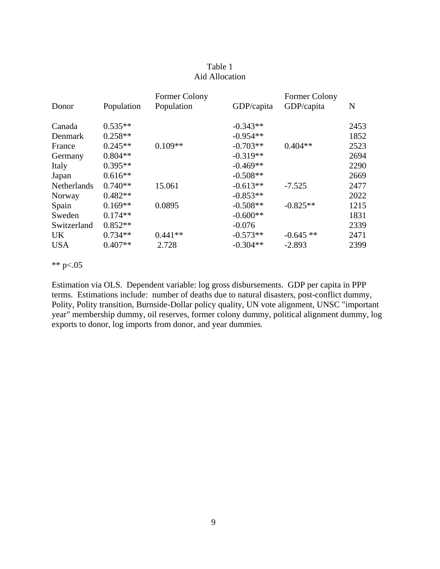### Table 1 Aid Allocation

| Donor              | Population | Former Colony<br>Population | GDP/capita | Former Colony<br>GDP/capita | N    |
|--------------------|------------|-----------------------------|------------|-----------------------------|------|
| Canada             | $0.535**$  |                             | $-0.343**$ |                             | 2453 |
| <b>Denmark</b>     | $0.258**$  |                             | $-0.954**$ |                             | 1852 |
| France             | $0.245**$  | $0.109**$                   | $-0.703**$ | $0.404**$                   | 2523 |
| Germany            | $0.804**$  |                             | $-0.319**$ |                             | 2694 |
| Italy              | $0.395**$  |                             | $-0.469**$ |                             | 2290 |
| Japan              | $0.616**$  |                             | $-0.508**$ |                             | 2669 |
| <b>Netherlands</b> | $0.740**$  | 15.061                      | $-0.613**$ | $-7.525$                    | 2477 |
| Norway             | $0.482**$  |                             | $-0.853**$ |                             | 2022 |
| Spain              | $0.169**$  | 0.0895                      | $-0.508**$ | $-0.825**$                  | 1215 |
| Sweden             | $0.174**$  |                             | $-0.600**$ |                             | 1831 |
| Switzerland        | $0.852**$  |                             | $-0.076$   |                             | 2339 |
| <b>UK</b>          | $0.734**$  | $0.441**$                   | $-0.573**$ | $-0.645**$                  | 2471 |
| <b>USA</b>         | $0.407**$  | 2.728                       | $-0.304**$ | $-2.893$                    | 2399 |

\*\* p<.05

Estimation via OLS. Dependent variable: log gross disbursements. GDP per capita in PPP terms. Estimations include: number of deaths due to natural disasters, post-conflict dummy, Polity, Polity transition, Burnside-Dollar policy quality, UN vote alignment, UNSC "important year" membership dummy, oil reserves, former colony dummy, political alignment dummy, log exports to donor, log imports from donor, and year dummies.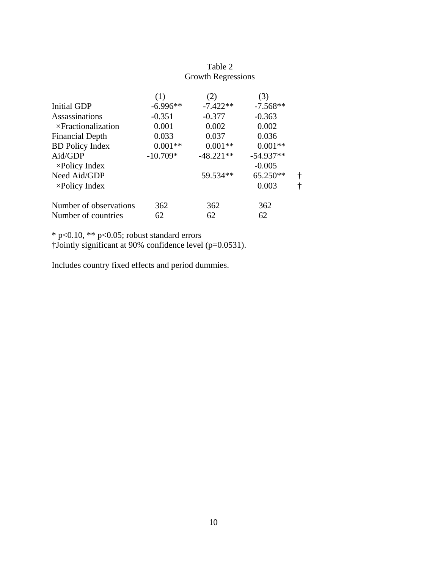|                            | (1)        | (2)         | (3)         |   |
|----------------------------|------------|-------------|-------------|---|
| <b>Initial GDP</b>         | $-6.996**$ | $-7.422**$  | $-7.568**$  |   |
| <b>Assassinations</b>      | $-0.351$   | $-0.377$    | $-0.363$    |   |
| $\times$ Fractionalization | 0.001      | 0.002       | 0.002       |   |
| <b>Financial Depth</b>     | 0.033      | 0.037       | 0.036       |   |
| <b>BD</b> Policy Index     | $0.001**$  | $0.001**$   | $0.001**$   |   |
| Aid/GDP                    | $-10.709*$ | $-48.221**$ | $-54.937**$ |   |
| $\times$ Policy Index      |            |             | $-0.005$    |   |
| Need Aid/GDP               |            | 59.534**    | 65.250**    | t |
| $\times$ Policy Index      |            |             | 0.003       | ÷ |
| Number of observations     | 362        | 362         | 362         |   |
| Number of countries        | 62         | 62          | 62          |   |

### Table 2 Growth Regressions

\* p<0.10, \*\* p<0.05; robust standard errors

†Jointly significant at 90% confidence level (p=0.0531).

Includes country fixed effects and period dummies.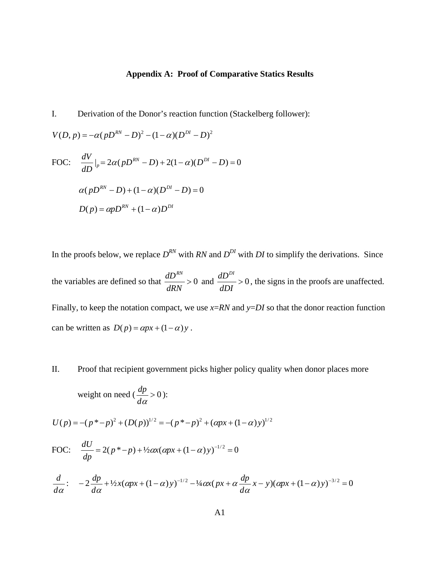### **Appendix A: Proof of Comparative Statics Results**

I. Derivation of the Donor's reaction function (Stackelberg follower):

$$
V(D, p) = -\alpha (pD^{RN} - D)^{2} - (1 - \alpha)(D^{DI} - D)^{2}
$$
  
FOC: 
$$
\frac{dV}{dD}|_{p} = 2\alpha (pD^{RN} - D) + 2(1 - \alpha)(D^{DI} - D) = 0
$$

$$
\alpha (pD^{RN} - D) + (1 - \alpha)(D^{DI} - D) = 0
$$

$$
D(p) = \alpha pD^{RN} + (1 - \alpha)D^{DI}
$$

In the proofs below, we replace  $D^{RN}$  with *RN* and  $D^{DI}$  with *DI* to simplify the derivations. Since the variables are defined so that  $\frac{dE}{dx} > 0$ *dRN*  $\frac{dD^{RN}}{dr} > 0$  and  $\frac{dD^{DI}}{dr} > 0$ *dDI*  $\frac{dD^{DI}}{dt} > 0$ , the signs in the proofs are unaffected. Finally, to keep the notation compact, we use *x*=*RN* and *y*=*DI* so that the donor reaction function can be written as  $D(p) = \alpha px + (1 - \alpha)y$ .

II. Proof that recipient government picks higher policy quality when donor places more

weight on need 
$$
(\frac{dp}{d\alpha} > 0)
$$
:

$$
U(p) = -(p^* - p)^2 + (D(p))^{1/2} = -(p^* - p)^2 + (\alpha px + (1 - \alpha)y)^{1/2}
$$

FOC: 
$$
\frac{dU}{dp} = 2(p^* - p) + \frac{1}{2}\alpha x(\alpha px + (1 - \alpha)y)^{-1/2} = 0
$$

$$
\frac{d}{d\alpha}\!\!\colon\quad -2\frac{dp}{d\alpha} + \frac{1}{2}x(\alpha px + (1-\alpha)y)^{-1/2} - \frac{1}{4}\alpha x(px + \alpha\frac{dp}{d\alpha}x - y)(\alpha px + (1-\alpha)y)^{-3/2} = 0
$$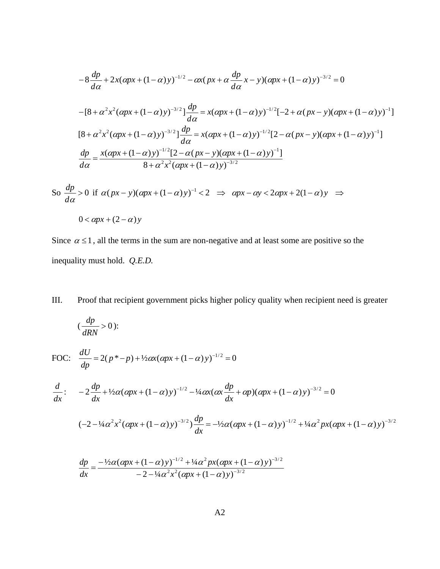$$
-8\frac{dp}{d\alpha} + 2x(\alpha px + (1 - \alpha)y)^{-1/2} - \alpha x(px + \alpha \frac{dp}{d\alpha}x - y)(\alpha px + (1 - \alpha)y)^{-3/2} = 0
$$
  

$$
-[8 + \alpha^2 x^2(\alpha px + (1 - \alpha)y)^{-3/2}] \frac{dp}{d\alpha} = x(\alpha px + (1 - \alpha)y)^{-1/2}[-2 + \alpha(px - y)(\alpha px + (1 - \alpha)y)^{-1}]
$$
  

$$
[8 + \alpha^2 x^2(\alpha px + (1 - \alpha)y)^{-3/2}] \frac{dp}{d\alpha} = x(\alpha px + (1 - \alpha)y)^{-1/2}[2 - \alpha(px - y)(\alpha px + (1 - \alpha)y)^{-1}]
$$
  

$$
\frac{dp}{d\alpha} = \frac{x(\alpha px + (1 - \alpha)y)^{-1/2}[2 - \alpha(px - y)(\alpha px + (1 - \alpha)y)^{-1}]}{8 + \alpha^2 x^2(\alpha px + (1 - \alpha)y)^{-3/2}}
$$

So 
$$
\frac{dp}{d\alpha} > 0
$$
 if  $\alpha(px - y)(\alpha px + (1 - \alpha)y)^{-1} < 2 \implies \alpha px - \alpha y < 2\alpha px + 2(1 - \alpha)y \implies$   
 $0 < \alpha px + (2 - \alpha)y$ 

Since  $\alpha \leq 1$ , all the terms in the sum are non-negative and at least some are positive so the inequality must hold. *Q.E.D.* 

III. Proof that recipient government picks higher policy quality when recipient need is greater  $\left(\frac{up}{up}\right) > 0$ *dRN*  $\frac{dp}{dx} > 0$ : FOC:  $\frac{dU}{dp} = 2(p^* - p) + \frac{1}{2}ax(\alpha px + (1 - \alpha)y)^{-1/2} = 0$ :  $\frac{d}{dx}$ :  $-2\frac{dp}{dx} + \frac{1}{2}\alpha(\alpha px + (1-\alpha)y)^{-1/2} - \frac{1}{4}\alpha x(\alpha x \frac{dp}{dx} + \alpha p)(\alpha px + (1-\alpha)y)^{-3/2} = 0$  $(-2 - \frac{1}{4}\alpha^2 x^2 (\alpha px + (1 - \alpha)y)^{-3/2})\frac{dp}{dx} = -\frac{1}{2}\alpha(\alpha px + (1 - \alpha)y)^{-1/2} + \frac{1}{4}\alpha^2 px(\alpha px + (1 - \alpha)y)^{-3/2}$ 

$$
\frac{dp}{dx} = \frac{-\frac{1}{2}\alpha(\alpha px + (1-\alpha)y)^{-1/2} + \frac{1}{4}\alpha^2 px(\alpha px + (1-\alpha)y)^{-3/2}}{-2 - \frac{1}{4}\alpha^2 x^2(\alpha px + (1-\alpha)y)^{-3/2}}
$$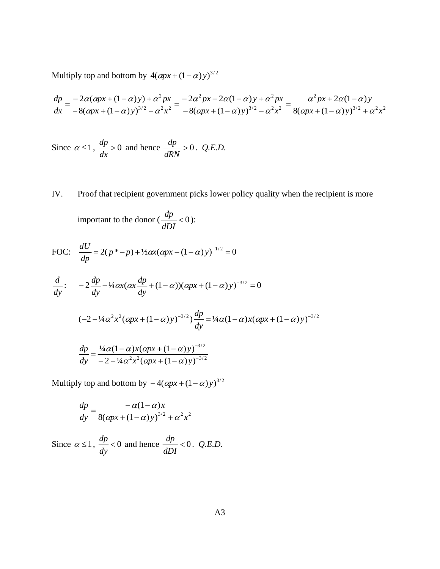Multiply top and bottom by  $4(\alpha px + (1-\alpha)y)^{3/2}$ 

$$
\frac{dp}{dx} = \frac{-2\alpha(\alpha px + (1-\alpha)y) + \alpha^2 px}{-8(\alpha px + (1-\alpha)y)^{3/2} - \alpha^2 x^2} = \frac{-2\alpha^2 px - 2\alpha(1-\alpha)y + \alpha^2 px}{-8(\alpha px + (1-\alpha)y)^{3/2} - \alpha^2 x^2} = \frac{\alpha^2 px + 2\alpha(1-\alpha)y}{8(\alpha px + (1-\alpha)y)^{3/2} + \alpha^2 x^2}
$$

Since 
$$
\alpha \le 1
$$
,  $\frac{dp}{dx} > 0$  and hence  $\frac{dp}{dRN} > 0$ . Q.E.D.

IV. Proof that recipient government picks lower policy quality when the recipient is more

important to the donor  $\left(\frac{dp}{dr}\right)$  < 0 *dDI*  $\frac{dp}{\sqrt{1-p}} < 0$ :

FOC: 
$$
\frac{dU}{dp} = 2(p^* - p) + \frac{1}{2}\alpha x(\alpha px + (1 - \alpha)y)^{-1/2} = 0
$$

$$
\frac{d}{dy}:\quad -2\frac{dp}{dy} - \frac{1}{4}\alpha x(\alpha x\frac{dp}{dy} + (1-\alpha))(\alpha px + (1-\alpha)y)^{-3/2} = 0
$$

$$
(-2 - \frac{1}{4}\alpha^2 x^2 (\alpha px + (1 - \alpha) y)^{-3/2}) \frac{dp}{dy} = \frac{1}{4}\alpha (1 - \alpha) x (\alpha px + (1 - \alpha) y)^{-3/2}
$$

$$
\frac{dp}{dy} = \frac{\frac{1}{4}\alpha(1-\alpha)x(\alpha px + (1-\alpha)y)^{-3/2}}{-2 - \frac{1}{4}\alpha^2x^2(\alpha px + (1-\alpha)y)^{-3/2}}
$$

Multiply top and bottom by  $-4(\alpha px + (1-\alpha)y)^{3/2}$ 

$$
\frac{dp}{dy} = \frac{-\alpha(1-\alpha)x}{8(\alpha px + (1-\alpha)y)^{3/2} + \alpha^2 x^2}
$$

Since  $\alpha \leq 1$ ,  $\frac{dp}{d} < 0$ *dy*  $\frac{dp}{dt}$  < 0 and hence  $\frac{dp}{dt}$  < 0 *dDI*  $\frac{dp}{d\rho}$  < 0. *Q.E.D.*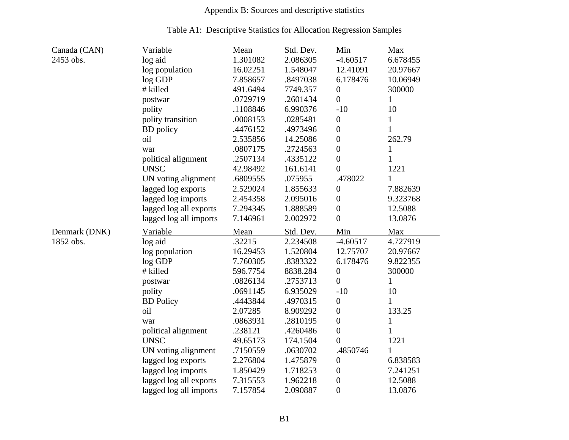# Appendix B: Sources and descriptive statistics

### Table A1: Descriptive Statistics for Allocation Regression Samples

| Canada (CAN)  | <u>Variable</u>        | <u>Mean</u> | Std. Dev. | Min              | Max          |
|---------------|------------------------|-------------|-----------|------------------|--------------|
| 2453 obs.     | log aid                | 1.301082    | 2.086305  | $-4.60517$       | 6.678455     |
|               | log population         | 16.02251    | 1.548047  | 12.41091         | 20.97667     |
|               | log GDP                | 7.858657    | .8497038  | 6.178476         | 10.06949     |
|               | # killed               | 491.6494    | 7749.357  | $\boldsymbol{0}$ | 300000       |
|               | postwar                | .0729719    | .2601434  | $\overline{0}$   | 1            |
|               | polity                 | .1108846    | 6.990376  | $-10$            | 10           |
|               | polity transition      | .0008153    | .0285481  | $\boldsymbol{0}$ | 1            |
|               | <b>BD</b> policy       | .4476152    | .4973496  | $\boldsymbol{0}$ | $\mathbf{1}$ |
|               | oil                    | 2.535856    | 14.25086  | $\boldsymbol{0}$ | 262.79       |
|               | war                    | .0807175    | .2724563  | $\boldsymbol{0}$ | $\mathbf{1}$ |
|               | political alignment    | .2507134    | .4335122  | $\boldsymbol{0}$ | $\mathbf{1}$ |
|               | <b>UNSC</b>            | 42.98492    | 161.6141  | $\overline{0}$   | 1221         |
|               | UN voting alignment    | .6809555    | .075955   | .478022          | 1            |
|               | lagged log exports     | 2.529024    | 1.855633  | $\boldsymbol{0}$ | 7.882639     |
|               | lagged log imports     | 2.454358    | 2.095016  | $\overline{0}$   | 9.323768     |
|               | lagged log all exports | 7.294345    | 1.888589  | $\boldsymbol{0}$ | 12.5088      |
|               | lagged log all imports | 7.146961    | 2.002972  | $\boldsymbol{0}$ | 13.0876      |
| Denmark (DNK) | Variable               | Mean        | Std. Dev. | Min              | Max          |
| 1852 obs.     | log aid                | .32215      | 2.234508  | $-4.60517$       | 4.727919     |
|               | log population         | 16.29453    | 1.520804  | 12.75707         | 20.97667     |
|               | log GDP                | 7.760305    | .8383322  | 6.178476         | 9.822355     |
|               | # killed               | 596.7754    | 8838.284  | $\boldsymbol{0}$ | 300000       |
|               | postwar                | .0826134    | .2753713  | $\overline{0}$   | $\mathbf{1}$ |
|               | polity                 | .0691145    | 6.935029  | $-10$            | 10           |
|               | <b>BD</b> Policy       | .4443844    | .4970315  | 0                | 1            |
|               | oil                    | 2.07285     | 8.909292  | $\overline{0}$   | 133.25       |
|               | war                    | .0863931    | .2810195  | $\boldsymbol{0}$ | $\mathbf{1}$ |
|               | political alignment    | .238121     | .4260486  | $\boldsymbol{0}$ | $\mathbf{1}$ |
|               | <b>UNSC</b>            | 49.65173    | 174.1504  | $\overline{0}$   | 1221         |
|               |                        |             |           | .4850746         | $\mathbf{1}$ |
|               | UN voting alignment    | .7150559    | .0630702  |                  |              |
|               | lagged log exports     | 2.276804    | 1.475879  | $\boldsymbol{0}$ | 6.838583     |
|               | lagged log imports     | 1.850429    | 1.718253  | $\overline{0}$   | 7.241251     |
|               | lagged log all exports | 7.315553    | 1.962218  | $\boldsymbol{0}$ | 12.5088      |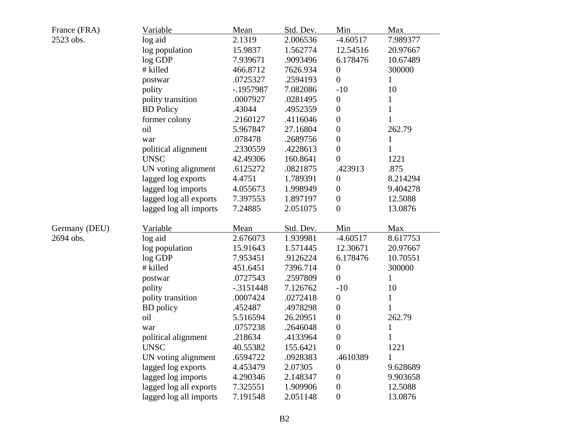| France (FRA)  | Variable               | Mean         | Std. Dev. | Min              | Max          |
|---------------|------------------------|--------------|-----------|------------------|--------------|
| 2523 obs.     | log aid                | 2.1319       | 2.006536  | $-4.60517$       | 7.989377     |
|               | log population         | 15.9837      | 1.562774  | 12.54516         | 20.97667     |
|               | log GDP                | 7.939671     | .9093496  | 6.178476         | 10.67489     |
|               | # killed               | 466.8712     | 7626.934  | $\boldsymbol{0}$ | 300000       |
|               | postwar                | .0725327     | .2594193  | $\overline{0}$   | $\mathbf{1}$ |
|               | polity                 | -.1957987    | 7.082086  | $-10$            | 10           |
|               | polity transition      | .0007927     | .0281495  | $\overline{0}$   | 1            |
|               | <b>BD</b> Policy       | .43044       | .4952359  | $\boldsymbol{0}$ | $\mathbf{1}$ |
|               | former colony          | .2160127     | .4116046  | $\boldsymbol{0}$ |              |
|               | oil                    | 5.967847     | 27.16804  | $\overline{0}$   | 262.79       |
|               | war                    | .078478      | .2689756  | $\overline{0}$   | $\mathbf{1}$ |
|               | political alignment    | .2330559     | .4228613  | $\boldsymbol{0}$ | 1            |
|               | <b>UNSC</b>            | 42.49306     | 160.8641  | $\overline{0}$   | 1221         |
|               | UN voting alignment    | .6125272     | .0821875  | .423913          | .875         |
|               | lagged log exports     | 4.4751       | 1.789391  | $\boldsymbol{0}$ | 8.214294     |
|               | lagged log imports     | 4.055673     | 1.998949  | $\overline{0}$   | 9.404278     |
|               | lagged log all exports | 7.397553     | 1.897197  | $\boldsymbol{0}$ | 12.5088      |
|               | lagged log all imports | 7.24885      | 2.051075  | $\overline{0}$   | 13.0876      |
| Germany (DEU) | Variable               | Mean         | Std. Dev. | Min              | Max          |
| 2694 obs.     | log aid                | 2.676073     | 1.939981  | $-4.60517$       | 8.617753     |
|               | log population         | 15.91643     | 1.571445  | 12.30671         | 20.97667     |
|               | log GDP                | 7.953451     | .9126224  | 6.178476         | 10.70551     |
|               | # killed               | 451.6451     | 7396.714  | $\boldsymbol{0}$ | 300000       |
|               | postwar                | .0727543     | .2597809  | $\overline{0}$   | $\mathbf{1}$ |
|               | polity                 | $-0.3151448$ | 7.126762  | $-10$            | 10           |
|               | polity transition      | .0007424     | .0272418  | $\boldsymbol{0}$ | 1            |
|               | <b>BD</b> policy       | .452487      | .4978298  | $\boldsymbol{0}$ | 1            |
|               | oil                    | 5.516594     | 26.20951  | $\boldsymbol{0}$ | 262.79       |
|               | war                    | .0757238     | .2646048  | $\theta$         | 1            |
|               | political alignment    | .218634      | .4133964  | $\boldsymbol{0}$ |              |
|               | <b>UNSC</b>            | 40.55382     | 155.6421  | $\boldsymbol{0}$ | 1221         |
|               | UN voting alignment    | .6594722     | .0928383  | .4610389         | 1            |
|               | lagged log exports     | 4.453479     | 2.07305   | $\boldsymbol{0}$ | 9.628689     |
|               | lagged log imports     | 4.290346     | 2.148347  | $\boldsymbol{0}$ | 9.903658     |
|               | lagged log all exports | 7.325551     | 1.909906  | $\boldsymbol{0}$ | 12.5088      |
|               | lagged log all imports | 7.191548     | 2.051148  | $\boldsymbol{0}$ | 13.0876      |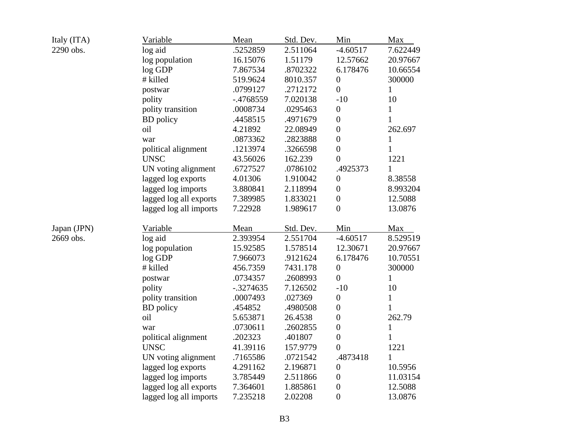| Italy (ITA) | <b>Variable</b>        | Mean        | Std. Dev. | Min              | Max          |
|-------------|------------------------|-------------|-----------|------------------|--------------|
| 2290 obs.   | log aid                | .5252859    | 2.511064  | $-4.60517$       | 7.622449     |
|             | log population         | 16.15076    | 1.51179   | 12.57662         | 20.97667     |
|             | log GDP                | 7.867534    | .8702322  | 6.178476         | 10.66554     |
|             | # killed               | 519.9624    | 8010.357  | $\boldsymbol{0}$ | 300000       |
|             | postwar                | .0799127    | .2712172  | $\overline{0}$   | $\mathbf{1}$ |
|             | polity                 | -.4768559   | 7.020138  | $-10$            | 10           |
|             | polity transition      | .0008734    | .0295463  | $\overline{0}$   | $\mathbf{1}$ |
|             | <b>BD</b> policy       | .4458515    | .4971679  | $\overline{0}$   | $\mathbf{1}$ |
|             | oil                    | 4.21892     | 22.08949  | $\overline{0}$   | 262.697      |
|             | war                    | .0873362    | .2823888  | $\boldsymbol{0}$ | $\mathbf{1}$ |
|             | political alignment    | .1213974    | .3266598  | $\boldsymbol{0}$ | 1            |
|             | <b>UNSC</b>            | 43.56026    | 162.239   | $\overline{0}$   | 1221         |
|             | UN voting alignment    | .6727527    | .0786102  | .4925373         | 1            |
|             | lagged log exports     | 4.01306     | 1.910042  | $\boldsymbol{0}$ | 8.38558      |
|             | lagged log imports     | 3.880841    | 2.118994  | $\overline{0}$   | 8.993204     |
|             | lagged log all exports | 7.389985    | 1.833021  | $\overline{0}$   | 12.5088      |
|             | lagged log all imports | 7.22928     | 1.989617  | $\overline{0}$   | 13.0876      |
| Japan (JPN) | Variable               | Mean        | Std. Dev. | Min              | Max          |
| 2669 obs.   | log aid                | 2.393954    | 2.551704  | $-4.60517$       | 8.529519     |
|             | log population         | 15.92585    | 1.578514  | 12.30671         | 20.97667     |
|             | log GDP                | 7.966073    | .9121624  | 6.178476         | 10.70551     |
|             | # killed               | 456.7359    | 7431.178  | $\boldsymbol{0}$ | 300000       |
|             | postwar                | .0734357    | .2608993  | $\overline{0}$   | $\mathbf{1}$ |
|             | polity                 | $-.3274635$ | 7.126502  | $-10$            | 10           |
|             | polity transition      | .0007493    | .027369   | $\boldsymbol{0}$ | $\mathbf{1}$ |
|             | <b>BD</b> policy       | .454852     | .4980508  | $\overline{0}$   | 1            |
|             | oil                    | 5.653871    | 26.4538   | $\boldsymbol{0}$ | 262.79       |
|             | war                    | .0730611    | .2602855  | $\boldsymbol{0}$ | $\mathbf{1}$ |
|             | political alignment    | .202323     | .401807   | $\overline{0}$   | 1            |
|             | <b>UNSC</b>            | 41.39116    | 157.9779  | $\overline{0}$   | 1221         |
|             | UN voting alignment    | .7165586    | .0721542  | .4873418         | $\mathbf{1}$ |
|             | lagged log exports     | 4.291162    | 2.196871  | $\boldsymbol{0}$ | 10.5956      |
|             | lagged log imports     | 3.785449    | 2.511866  | $\boldsymbol{0}$ | 11.03154     |
|             | lagged log all exports | 7.364601    | 1.885861  | $\overline{0}$   | 12.5088      |
|             | lagged log all imports | 7.235218    | 2.02208   | $\overline{0}$   | 13.0876      |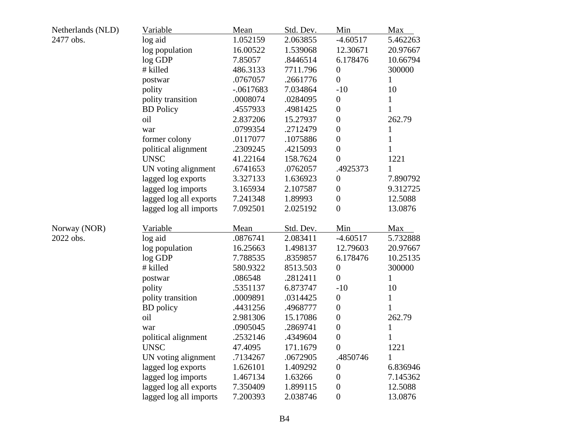| Netherlands (NLD) | Variable               | Mean        | Std. Dev. | Min              | Max          |
|-------------------|------------------------|-------------|-----------|------------------|--------------|
| 2477 obs.         | log aid                | 1.052159    | 2.063855  | $-4.60517$       | 5.462263     |
|                   | log population         | 16.00522    | 1.539068  | 12.30671         | 20.97667     |
|                   | $\log$ GDP             | 7.85057     | .8446514  | 6.178476         | 10.66794     |
|                   | # killed               | 486.3133    | 7711.796  | $\boldsymbol{0}$ | 300000       |
|                   | postwar                | .0767057    | .2661776  | $\overline{0}$   | $\mathbf{1}$ |
|                   | polity                 | $-.0617683$ | 7.034864  | $-10$            | 10           |
|                   | polity transition      | .0008074    | .0284095  | $\boldsymbol{0}$ | $\mathbf 1$  |
|                   | <b>BD</b> Policy       | .4557933    | .4981425  | $\boldsymbol{0}$ | 1            |
|                   | oil                    | 2.837206    | 15.27937  | $\overline{0}$   | 262.79       |
|                   | war                    | .0799354    | .2712479  | $\overline{0}$   | $\mathbf{1}$ |
|                   | former colony          | .0117077    | .1075886  | $\boldsymbol{0}$ | 1            |
|                   | political alignment    | .2309245    | .4215093  | $\overline{0}$   | 1            |
|                   | <b>UNSC</b>            | 41.22164    | 158.7624  | $\overline{0}$   | 1221         |
|                   | UN voting alignment    | .6741653    | .0762057  | .4925373         |              |
|                   | lagged log exports     | 3.327133    | 1.636923  | $\boldsymbol{0}$ | 7.890792     |
|                   | lagged log imports     | 3.165934    | 2.107587  | $\overline{0}$   | 9.312725     |
|                   | lagged log all exports | 7.241348    | 1.89993   | $\overline{0}$   | 12.5088      |
|                   | lagged log all imports | 7.092501    | 2.025192  | $\overline{0}$   | 13.0876      |
| Norway (NOR)      | Variable               | Mean        | Std. Dev. | Min              | Max          |
| 2022 obs.         | log aid                | .0876741    | 2.083411  | $-4.60517$       | 5.732888     |
|                   | log population         | 16.25663    | 1.498137  | 12.79603         | 20.97667     |
|                   | log GDP                | 7.788535    | .8359857  | 6.178476         | 10.25135     |
|                   | # killed               | 580.9322    | 8513.503  | $\boldsymbol{0}$ | 300000       |
|                   | postwar                | .086548     | .2812411  | $\overline{0}$   | $\mathbf{1}$ |
|                   | polity                 | .5351137    | 6.873747  | $-10$            | 10           |
|                   | polity transition      | .0009891    | .0314425  | $\boldsymbol{0}$ | $\mathbf{1}$ |
|                   | <b>BD</b> policy       | .4431256    | .4968777  | $\boldsymbol{0}$ | 1            |
|                   | oil                    | 2.981306    | 15.17086  | $\boldsymbol{0}$ | 262.79       |
|                   | war                    | .0905045    | .2869741  | $\overline{0}$   | $\mathbf{1}$ |
|                   | political alignment    | .2532146    | .4349604  | $\boldsymbol{0}$ | 1            |
|                   | <b>UNSC</b>            | 47.4095     | 171.1679  | $\boldsymbol{0}$ | 1221         |
|                   | UN voting alignment    | .7134267    | .0672905  | .4850746         | 1            |
|                   | lagged log exports     | 1.626101    | 1.409292  | $\boldsymbol{0}$ | 6.836946     |
|                   | lagged log imports     | 1.467134    | 1.63266   | 0                | 7.145362     |
|                   | lagged log all exports | 7.350409    | 1.899115  | $\boldsymbol{0}$ | 12.5088      |
|                   | lagged log all imports | 7.200393    | 2.038746  | $\boldsymbol{0}$ | 13.0876      |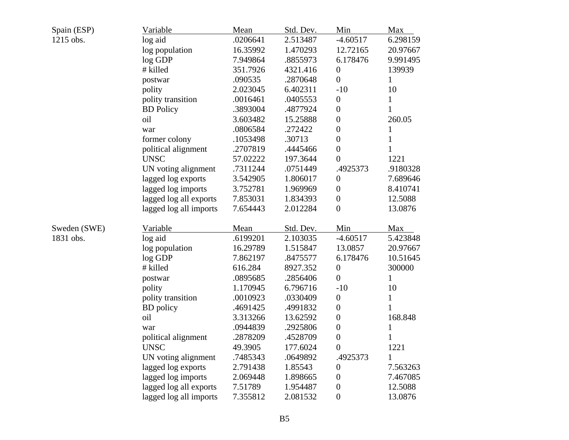| Spain (ESP)  | Variable               | Mean     | Std. Dev. | Min              | Max          |
|--------------|------------------------|----------|-----------|------------------|--------------|
| 1215 obs.    | log aid                | .0206641 | 2.513487  | $-4.60517$       | 6.298159     |
|              | log population         | 16.35992 | 1.470293  | 12.72165         | 20.97667     |
|              | $\log$ GDP             | 7.949864 | .8855973  | 6.178476         | 9.991495     |
|              | # killed               | 351.7926 | 4321.416  | $\boldsymbol{0}$ | 139939       |
|              | postwar                | .090535  | .2870648  | $\overline{0}$   | $\mathbf{1}$ |
|              | polity                 | 2.023045 | 6.402311  | $-10$            | 10           |
|              | polity transition      | .0016461 | .0405553  | $\boldsymbol{0}$ | 1            |
|              | <b>BD</b> Policy       | .3893004 | .4877924  | $\boldsymbol{0}$ | 1            |
|              | oil                    | 3.603482 | 15.25888  | $\boldsymbol{0}$ | 260.05       |
|              | war                    | .0806584 | .272422   | $\overline{0}$   | $\mathbf 1$  |
|              | former colony          | .1053498 | .30713    | $\overline{0}$   | $\mathbf 1$  |
|              | political alignment    | .2707819 | .4445466  | $\boldsymbol{0}$ | 1            |
|              | <b>UNSC</b>            | 57.02222 | 197.3644  | $\overline{0}$   | 1221         |
|              | UN voting alignment    | .7311244 | .0751449  | .4925373         | .9180328     |
|              | lagged log exports     | 3.542905 | 1.806017  | $\boldsymbol{0}$ | 7.689646     |
|              | lagged log imports     | 3.752781 | 1.969969  | $\boldsymbol{0}$ | 8.410741     |
|              | lagged log all exports | 7.853031 | 1.834393  | $\boldsymbol{0}$ | 12.5088      |
|              | lagged log all imports | 7.654443 | 2.012284  | $\overline{0}$   | 13.0876      |
| Sweden (SWE) | Variable               | Mean     | Std. Dev. | Min              | Max          |
| 1831 obs.    | log aid                | .6199201 | 2.103035  | $-4.60517$       | 5.423848     |
|              | log population         | 16.29789 | 1.515847  | 13.0857          | 20.97667     |
|              | log GDP                | 7.862197 | .8475577  | 6.178476         | 10.51645     |
|              | # killed               | 616.284  | 8927.352  | $\boldsymbol{0}$ | 300000       |
|              | postwar                | .0895685 | .2856406  | $\overline{0}$   | $\mathbf{1}$ |
|              | polity                 | 1.170945 | 6.796716  | $-10$            | 10           |
|              | polity transition      | .0010923 | .0330409  | $\boldsymbol{0}$ | $\mathbf{1}$ |
|              | <b>BD</b> policy       | .4691425 | .4991832  | $\overline{0}$   | $\mathbf{1}$ |
|              | oil                    | 3.313266 | 13.62592  | $\boldsymbol{0}$ | 168.848      |
|              | war                    | .0944839 | .2925806  | $\boldsymbol{0}$ | $\mathbf 1$  |
|              | political alignment    | .2878209 | .4528709  | $\boldsymbol{0}$ | 1            |
|              | <b>UNSC</b>            | 49.3905  | 177.6024  | $\boldsymbol{0}$ | 1221         |
|              | UN voting alignment    | .7485343 | .0649892  | .4925373         | 1            |
|              | lagged log exports     | 2.791438 | 1.85543   | 0                | 7.563263     |
|              | lagged log imports     | 2.069448 | 1.898665  | 0                | 7.467085     |
|              | lagged log all exports | 7.51789  | 1.954487  | $\boldsymbol{0}$ | 12.5088      |
|              | lagged log all imports | 7.355812 | 2.081532  | $\boldsymbol{0}$ | 13.0876      |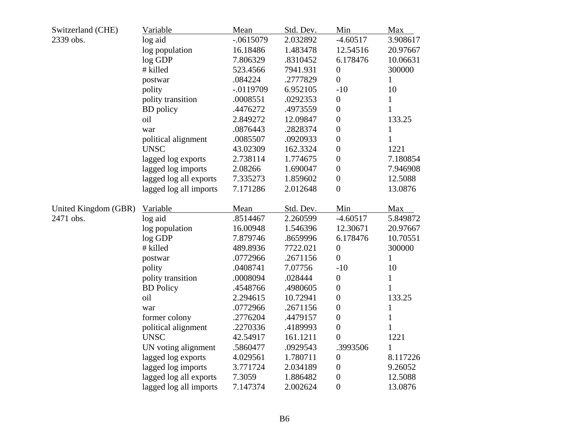| Switzerland (CHE)    | Variable               | Mean        | Std. Dev. | Min              | Max          |
|----------------------|------------------------|-------------|-----------|------------------|--------------|
| 2339 obs.            | log aid                | $-.0615079$ | 2.032892  | $-4.60517$       | 3.908617     |
|                      | log population         | 16.18486    | 1.483478  | 12.54516         | 20.97667     |
|                      | log GDP                | 7.806329    | .8310452  | 6.178476         | 10.06631     |
|                      | # killed               | 523.4566    | 7941.931  | $\theta$         | 300000       |
|                      | postwar                | .084224     | .2777829  | $\overline{0}$   | $\mathbf{1}$ |
|                      | polity                 | $-.0119709$ | 6.952105  | $-10$            | 10           |
|                      | polity transition      | .0008551    | .0292353  | $\boldsymbol{0}$ | $\mathbf{1}$ |
|                      | <b>BD</b> policy       | .4476272    | .4973559  | $\overline{0}$   | $\mathbf{1}$ |
|                      | oil                    | 2.849272    | 12.09847  | $\boldsymbol{0}$ | 133.25       |
|                      | war                    | .0876443    | .2828374  | $\overline{0}$   | $\mathbf{1}$ |
|                      | political alignment    | .0085507    | .0920933  | $\boldsymbol{0}$ | $\mathbf{1}$ |
|                      | <b>UNSC</b>            | 43.02309    | 162.3324  | $\overline{0}$   | 1221         |
|                      | lagged log exports     | 2.738114    | 1.774675  | $\boldsymbol{0}$ | 7.180854     |
|                      | lagged log imports     | 2.08266     | 1.690047  | $\boldsymbol{0}$ | 7.946908     |
|                      | lagged log all exports | 7.335273    | 1.859602  | $\overline{0}$   | 12.5088      |
|                      | lagged log all imports | 7.171286    | 2.012648  | $\overline{0}$   | 13.0876      |
| United Kingdom (GBR) | Variable               | Mean        | Std. Dev. | Min              | Max          |
| 2471 obs.            | log aid                | .8514467    | 2.260599  | $-4.60517$       | 5.849872     |
|                      | log population         | 16.00948    | 1.546396  | 12.30671         | 20.97667     |
|                      | log GDP                | 7.879746    | .8659996  | 6.178476         | 10.70551     |
|                      | # killed               | 489.8936    | 7722.021  | $\boldsymbol{0}$ | 300000       |
|                      | postwar                | .0772966    | .2671156  | $\overline{0}$   | $\mathbf{1}$ |
|                      | polity                 | .0408741    | 7.07756   | $-10$            | 10           |
|                      | polity transition      | .0008094    | .028444   | $\boldsymbol{0}$ | $\mathbf{1}$ |
|                      | <b>BD</b> Policy       | .4548766    | .4980605  | $\overline{0}$   | 1            |
|                      | oil                    | 2.294615    | 10.72941  | $\boldsymbol{0}$ | 133.25       |
|                      | war                    | .0772966    | .2671156  | $\boldsymbol{0}$ | $\mathbf{1}$ |
|                      | former colony          | .2776204    | .4479157  | $\boldsymbol{0}$ | $\mathbf{1}$ |
|                      | political alignment    | .2270336    | .4189993  | $\boldsymbol{0}$ | $\mathbf{1}$ |
|                      | <b>UNSC</b>            | 42.54917    | 161.1211  | $\boldsymbol{0}$ | 1221         |
|                      | UN voting alignment    | .5860477    | .0929543  | .3993506         | $\mathbf{1}$ |
|                      | lagged log exports     | 4.029561    | 1.780711  | $\boldsymbol{0}$ | 8.117226     |
|                      | lagged log imports     | 3.771724    | 2.034189  | $\boldsymbol{0}$ | 9.26052      |
|                      | lagged log all exports | 7.3059      | 1.886482  | $\boldsymbol{0}$ | 12.5088      |
|                      | lagged log all imports | 7.147374    | 2.002624  | $\overline{0}$   | 13.0876      |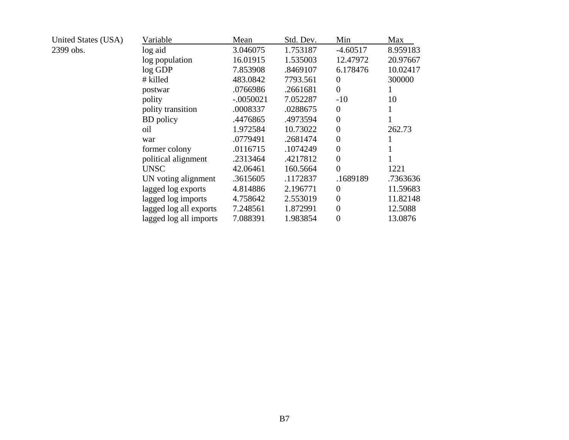| United States (USA) | Variable               | Mean        | Std. Dev. | Min            | Max      |
|---------------------|------------------------|-------------|-----------|----------------|----------|
| 2399 obs.           | log aid                | 3.046075    | 1.753187  | $-4.60517$     | 8.959183 |
|                     | log population         | 16.01915    | 1.535003  | 12.47972       | 20.97667 |
|                     | $log$ GDP              | 7.853908    | .8469107  | 6.178476       | 10.02417 |
|                     | # killed               | 483.0842    | 7793.561  | $\Omega$       | 300000   |
|                     | postwar                | .0766986    | .2661681  | $\theta$       |          |
|                     | polity                 | $-.0050021$ | 7.052287  | $-10$          | 10       |
|                     | polity transition      | .0008337    | .0288675  | $\theta$       |          |
|                     | <b>BD</b> policy       | .4476865    | .4973594  | $\theta$       |          |
|                     | oil                    | 1.972584    | 10.73022  | $\theta$       | 262.73   |
|                     | war                    | .0779491    | .2681474  | $\theta$       |          |
|                     | former colony          | .0116715    | .1074249  | $\theta$       |          |
|                     | political alignment    | .2313464    | .4217812  | $\theta$       |          |
|                     | <b>UNSC</b>            | 42.06461    | 160.5664  | $\overline{0}$ | 1221     |
|                     | UN voting alignment    | .3615605    | .1172837  | .1689189       | .7363636 |
|                     | lagged log exports     | 4.814886    | 2.196771  | $\Omega$       | 11.59683 |
|                     | lagged log imports     | 4.758642    | 2.553019  | $\theta$       | 11.82148 |
|                     | lagged log all exports | 7.248561    | 1.872991  | $\Omega$       | 12.5088  |
|                     | lagged log all imports | 7.088391    | 1.983854  | $\theta$       | 13.0876  |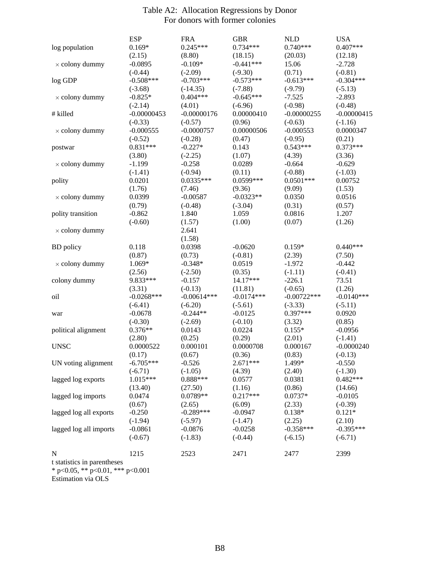|                                                                 | <b>ESP</b>             | <b>FRA</b>                 | <b>GBR</b>              | <b>NLD</b>                 | <b>USA</b>             |
|-----------------------------------------------------------------|------------------------|----------------------------|-------------------------|----------------------------|------------------------|
| log population                                                  | $0.169*$               | $0.245***$                 | $0.734***$              | $0.740***$                 | $0.407***$             |
|                                                                 | (2.15)                 | (8.80)                     | (18.15)                 | (20.03)                    | (12.18)                |
| $\times$ colony dummy                                           | $-0.0895$              | $-0.109*$                  | $-0.441***$             | 15.06                      | $-2.728$               |
|                                                                 | $(-0.44)$              | $(-2.09)$                  | $(-9.30)$               | (0.71)                     | $(-0.81)$              |
| log GDP                                                         | $-0.508***$            | $-0.703***$                | $-0.573***$             | $-0.613***$                | $-0.304***$            |
|                                                                 | $(-3.68)$              | $(-14.35)$                 | $(-7.88)$               | $(-9.79)$                  | $(-5.13)$              |
| $\times$ colony dummy                                           | $-0.825*$              | $0.404***$                 | $-0.645***$             | $-7.525$                   | $-2.893$               |
|                                                                 | $(-2.14)$              | (4.01)                     | $(-6.96)$               | $(-0.98)$                  | $(-0.48)$              |
| # killed                                                        | $-0.00000453$          | $-0.00000176$              | 0.00000410              | $-0.00000255$              | $-0.00000415$          |
|                                                                 | $(-0.33)$              | $(-0.57)$                  | (0.96)                  | $(-0.63)$                  | $(-1.16)$              |
| $\times$ colony dummy                                           | $-0.000555$            | $-0.0000757$               | 0.00000506              | $-0.000553$                | 0.0000347              |
|                                                                 | $(-0.52)$              | $(-0.28)$                  | (0.47)                  | $(-0.95)$                  | (0.21)                 |
| postwar                                                         | $0.831***$             | $-0.227*$                  | 0.143                   | $0.543***$                 | $0.373***$             |
|                                                                 | (3.80)                 | $(-2.25)$                  | (1.07)                  | (4.39)                     | (3.36)                 |
| $\times$ colony dummy                                           | $-1.199$               | $-0.258$                   | 0.0289                  | $-0.664$                   | $-0.629$               |
|                                                                 | $(-1.41)$              | $(-0.94)$                  | (0.11)                  | $(-0.88)$                  | $(-1.03)$              |
| polity                                                          | 0.0201                 | $0.0335***$                | 0.0599***               | $0.0501***$                | 0.00752                |
|                                                                 | (1.76)                 | (7.46)                     | (9.36)                  | (9.09)                     | (1.53)                 |
| $\times$ colony dummy                                           | 0.0399                 | $-0.00587$                 | $-0.0323**$             | 0.0350                     | 0.0516                 |
|                                                                 | (0.79)                 | $(-0.48)$                  | $(-3.04)$               | (0.31)                     | (0.57)                 |
| polity transition                                               | $-0.862$               | 1.840                      | 1.059                   | 0.0816                     | 1.207                  |
|                                                                 | $(-0.60)$              | (1.57)                     | (1.00)                  | (0.07)                     | (1.26)                 |
| $\times$ colony dummy                                           |                        | 2.641                      |                         |                            |                        |
|                                                                 |                        | (1.58)                     |                         |                            |                        |
| <b>BD</b> policy                                                | 0.118                  | 0.0398                     | $-0.0620$               | $0.159*$                   | $0.440***$             |
|                                                                 | (0.87)                 | (0.73)                     | $(-0.81)$               | (2.39)                     | (7.50)                 |
| $\times$ colony dummy                                           | 1.069*                 | $-0.348*$                  | 0.0519                  | $-1.972$                   | $-0.442$               |
|                                                                 | (2.56)<br>9.833***     | $(-2.50)$<br>$-0.157$      | (0.35)<br>14.17***      | $(-1.11)$                  | $(-0.41)$              |
| colony dummy                                                    |                        |                            |                         | $-226.1$                   | 73.51                  |
|                                                                 | (3.31)<br>$-0.0268***$ | $(-0.13)$<br>$-0.00614***$ | (11.81)<br>$-0.0174***$ | $(-0.65)$<br>$-0.00722***$ | (1.26)<br>$-0.0140***$ |
| oil                                                             | $(-6.41)$              | $(-6.20)$                  | $(-5.61)$               | $(-3.33)$                  | $(-5.11)$              |
|                                                                 | $-0.0678$              | $-0.244**$                 | $-0.0125$               | $0.397***$                 | 0.0920                 |
| war                                                             | $(-0.30)$              | $(-2.69)$                  | $(-0.10)$               | (3.32)                     | (0.85)                 |
| political alignment                                             | $0.376**$              | 0.0143                     | 0.0224                  | $0.155*$                   | $-0.0956$              |
|                                                                 | (2.80)                 | (0.25)                     | (0.29)                  | (2.01)                     | $(-1.41)$              |
| <b>UNSC</b>                                                     | 0.0000522              | 0.000101                   | 0.0000708               | 0.000167                   | $-0.0000240$           |
|                                                                 | (0.17)                 | (0.67)                     | (0.36)                  | (0.83)                     | $(-0.13)$              |
| UN voting alignment                                             | $-6.705***$            | $-0.526$                   | $2.671***$              | 1.499*                     | $-0.550$               |
|                                                                 | $(-6.71)$              | $(-1.05)$                  | (4.39)                  | (2.40)                     | $(-1.30)$              |
| lagged log exports                                              | 1.015***               | $0.888***$                 | 0.0577                  | 0.0381                     | $0.482***$             |
|                                                                 | (13.40)                | (27.50)                    | (1.16)                  | (0.86)                     | (14.66)                |
| lagged log imports                                              | 0.0474                 | $0.0789**$                 | $0.217***$              | $0.0737*$                  | $-0.0105$              |
|                                                                 | (0.67)                 | (2.65)                     | (6.09)                  | (2.33)                     | $(-0.39)$              |
| lagged log all exports                                          | $-0.250$               | $-0.289***$                | $-0.0947$               | $0.138*$                   | $0.121*$               |
|                                                                 | $(-1.94)$              | $(-5.97)$                  | $(-1.47)$               | (2.25)                     | (2.10)                 |
| lagged log all imports                                          | $-0.0861$              | $-0.0876$                  | $-0.0258$               | $-0.358***$                | $-0.395***$            |
|                                                                 | $(-0.67)$              | $(-1.83)$                  | $(-0.44)$               | $(-6.15)$                  | $(-6.71)$              |
|                                                                 |                        |                            |                         |                            |                        |
| N                                                               | 1215                   | 2523                       | 2471                    | 2477                       | 2399                   |
| t statistics in parentheses<br>* p<0.05, ** p<0.01, *** p<0.001 |                        |                            |                         |                            |                        |

### Table A2: Allocation Regressions by Donor For donors with former colonies

Estimation via OLS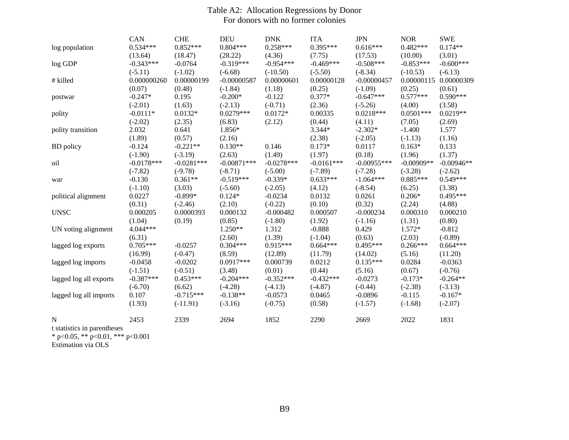### Table A2: Allocation Regressions by Donor For donors with no former colonies

|                             | CAN          | <b>CHE</b>   | <b>DEU</b>    | <b>DNK</b>   | <b>ITA</b>   | <b>JPN</b>    | <b>NOR</b>   | <b>SWE</b>   |
|-----------------------------|--------------|--------------|---------------|--------------|--------------|---------------|--------------|--------------|
| log population              | $0.534***$   | $0.852***$   | $0.804***$    | $0.258***$   | $0.395***$   | $0.616***$    | $0.482***$   | $0.174**$    |
|                             | (13.64)      | (18.47)      | (28.22)       | (4.36)       | (7.75)       | (17.53)       | (10.00)      | (3.01)       |
| log GDP                     | $-0.343***$  | $-0.0764$    | $-0.319***$   | $-0.954***$  | $-0.469***$  | $-0.508***$   | $-0.853***$  | $-0.600$ *** |
|                             | $(-5.11)$    | $(-1.02)$    | $(-6.68)$     | $(-10.50)$   | $(-5.50)$    | $(-8.34)$     | $(-10.53)$   | $(-6.13)$    |
| # killed                    | 0.000000260  | 0.00000199   | $-0.00000587$ | 0.00000601   | 0.00000128   | $-0.00000457$ | 0.00000115   | 0.00000309   |
|                             | (0.07)       | (0.48)       | $(-1.84)$     | (1.18)       | (0.25)       | $(-1.09)$     | (0.25)       | (0.61)       |
| postwar                     | $-0.247*$    | 0.195        | $-0.200*$     | $-0.122$     | $0.377*$     | $-0.647***$   | $0.577***$   | $0.590***$   |
|                             | $(-2.01)$    | (1.63)       | $(-2.13)$     | $(-0.71)$    | (2.36)       | $(-5.26)$     | (4.00)       | (3.58)       |
| polity                      | $-0.0111*$   | $0.0132*$    | $0.0279***$   | $0.0172*$    | 0.00335      | $0.0218***$   | $0.0501***$  | $0.0219**$   |
|                             | $(-2.02)$    | (2.35)       | (6.83)        | (2.12)       | (0.44)       | (4.11)        | (7.05)       | (2.69)       |
| polity transition           | 2.032        | 0.641        | 1.856*        |              | 3.344*       | $-2.302*$     | $-1.400$     | 1.577        |
|                             | (1.89)       | (0.57)       | (2.16)        |              | (2.38)       | $(-2.05)$     | $(-1.13)$    | (1.16)       |
| <b>BD</b> policy            | $-0.124$     | $-0.221**$   | $0.130**$     | 0.146        | $0.173*$     | 0.0117        | $0.163*$     | 0.133        |
|                             | $(-1.90)$    | $(-3.19)$    | (2.63)        | (1.49)       | (1.97)       | (0.18)        | (1.96)       | (1.37)       |
| oil                         | $-0.0178***$ | $-0.0281***$ | $-0.00871***$ | $-0.0278***$ | $-0.0161***$ | $-0.00955***$ | $-0.00909**$ | $-0.00946**$ |
|                             | $(-7.82)$    | $(-9.78)$    | $(-8.71)$     | $(-5.00)$    | $(-7.89)$    | $(-7.28)$     | $(-3.28)$    | $(-2.62)$    |
| war                         | $-0.130$     | $0.361**$    | $-0.519***$   | $-0.339*$    | $0.633***$   | $-1.064***$   | $0.885***$   | $0.549***$   |
|                             | $(-1.10)$    | (3.03)       | $(-5.60)$     | $(-2.05)$    | (4.12)       | $(-8.54)$     | (6.25)       | (3.38)       |
| political alignment         | 0.0227       | $-0.899*$    | $0.124*$      | $-0.0234$    | 0.0132       | 0.0261        | $0.206*$     | $0.495***$   |
|                             | (0.31)       | $(-2.46)$    | (2.10)        | $(-0.22)$    | (0.10)       | (0.32)        | (2.24)       | (4.88)       |
| <b>UNSC</b>                 | 0.000205     | 0.0000393    | 0.000132      | $-0.000482$  | 0.000507     | $-0.000234$   | 0.000310     | 0.000210     |
|                             | (1.04)       | (0.19)       | (0.85)        | $(-1.80)$    | (1.92)       | $(-1.16)$     | (1.31)       | (0.80)       |
| UN voting alignment         | 4.044***     |              | $1.250**$     | 1.312        | $-0.888$     | 0.429         | 1.572*       | $-0.812$     |
|                             | (6.31)       |              | (2.60)        | (1.39)       | $(-1.04)$    | (0.63)        | (2.03)       | $(-0.89)$    |
| lagged log exports          | $0.705***$   | $-0.0257$    | $0.304***$    | $0.915***$   | $0.664***$   | $0.495***$    | $0.266***$   | $0.664***$   |
|                             | (16.99)      | $(-0.47)$    | (8.59)        | (12.89)      | (11.79)      | (14.02)       | (5.16)       | (11.20)      |
| lagged log imports          | $-0.0458$    | $-0.0202$    | $0.0917***$   | 0.000739     | 0.0212       | $0.135***$    | 0.0284       | $-0.0363$    |
|                             | $(-1.51)$    | $(-0.51)$    | (3.48)        | (0.01)       | (0.44)       | (5.16)        | (0.67)       | $(-0.76)$    |
| lagged log all exports      | $-0.387***$  | $0.453***$   | $-0.204***$   | $-0.352***$  | $-0.432***$  | $-0.0273$     | $-0.173*$    | $-0.264**$   |
|                             | $(-6.70)$    | (6.62)       | $(-4.28)$     | $(-4.13)$    | $(-4.87)$    | $(-0.44)$     | $(-2.38)$    | $(-3.13)$    |
| lagged log all imports      | 0.107        | $-0.715***$  | $-0.138**$    | $-0.0573$    | 0.0465       | $-0.0896$     | $-0.115$     | $-0.167*$    |
|                             | (1.93)       | $(-11.91)$   | $(-3.16)$     | $(-0.75)$    | (0.58)       | $(-1.57)$     | $(-1.68)$    | $(-2.07)$    |
| N                           | 2453         | 2339         | 2694          | 1852         | 2290         | 2669          | 2022         | 1831         |
| t statistics in parentheses |              |              |               |              |              |               |              |              |
|                             |              |              |               |              |              |               |              |              |

\* p<0.05, \*\* p<0.01, \*\*\* p<0.001

Estimation via OLS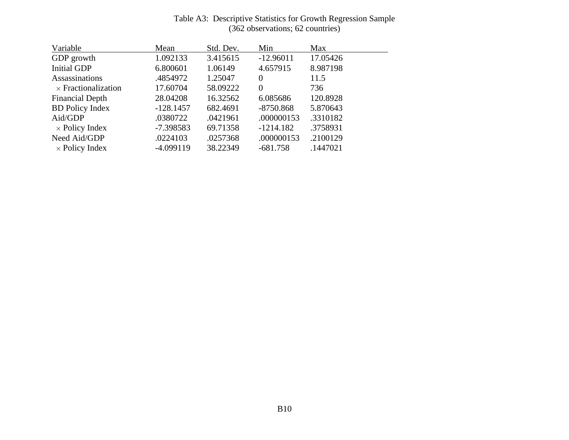| Variable                   | Mean        | Std. Dev. | Min         | Max      |
|----------------------------|-------------|-----------|-------------|----------|
| GDP growth                 | 1.092133    | 3.415615  | $-12.96011$ | 17.05426 |
| <b>Initial GDP</b>         | 6.800601    | 1.06149   | 4.657915    | 8.987198 |
| Assassinations             | .4854972    | 1.25047   | $\Omega$    | 11.5     |
| $\times$ Fractionalization | 17.60704    | 58.09222  | $\theta$    | 736      |
| <b>Financial Depth</b>     | 28.04208    | 16.32562  | 6.085686    | 120.8928 |
| <b>BD</b> Policy Index     | $-128.1457$ | 682.4691  | $-8750.868$ | 5.870643 |
| Aid/GDP                    | .0380722    | .0421961  | .000000153  | .3310182 |
| $\times$ Policy Index      | $-7.398583$ | 69.71358  | $-1214.182$ | .3758931 |
| Need Aid/GDP               | .0224103    | .0257368  | .000000153  | .2100129 |
| $\times$ Policy Index      | $-4.099119$ | 38.22349  | $-681.758$  | .1447021 |

### Table A3: Descriptive Statistics for Growth Regression Sample (362 observations; 62 countries)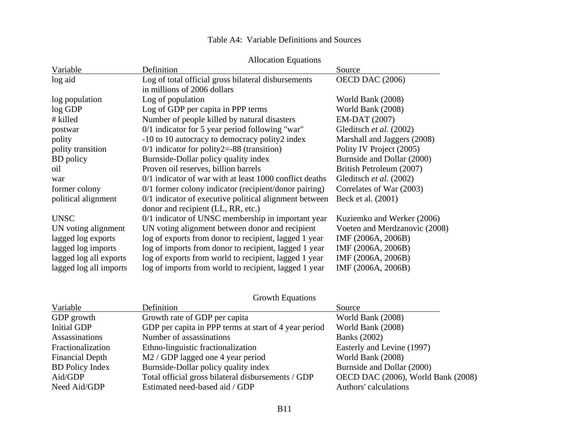|                        | <b>Allocation Equations</b>                             |                               |
|------------------------|---------------------------------------------------------|-------------------------------|
| Variable               | Definition                                              | Source                        |
| log aid                | Log of total official gross bilateral disbursements     | OECD DAC (2006)               |
|                        | in millions of 2006 dollars                             |                               |
| log population         | Log of population                                       | World Bank (2008)             |
| log GDP                | Log of GDP per capita in PPP terms                      | World Bank (2008)             |
| # killed               | Number of people killed by natural disasters            | EM-DAT (2007)                 |
| postwar                | $0/1$ indicator for 5 year period following "war"       | Gleditsch et al. (2002)       |
| polity                 | -10 to 10 autocracy to democracy polity2 index          | Marshall and Jaggers (2008)   |
| polity transition      | $0/1$ indicator for polity 2 = -88 (transition)         | Polity IV Project (2005)      |
| <b>BD</b> policy       | Burnside-Dollar policy quality index                    | Burnside and Dollar (2000)    |
| oil                    | Proven oil reserves, billion barrels                    | British Petroleum (2007)      |
| war                    | 0/1 indicator of war with at least 1000 conflict deaths | Gleditsch et al. (2002)       |
| former colony          | 0/1 former colony indicator (recipient/donor pairing)   | Correlates of War (2003)      |
| political alignment    | 0/1 indicator of executive political alignment between  | Beck et al. (2001)            |
|                        | donor and recipient (LL, RR, etc.)                      |                               |
| <b>UNSC</b>            | 0/1 indicator of UNSC membership in important year      | Kuziemko and Werker (2006)    |
| UN voting alignment    | UN voting alignment between donor and recipient         | Voeten and Merdzanovic (2008) |
| lagged log exports     | log of exports from donor to recipient, lagged 1 year   | IMF (2006A, 2006B)            |
| lagged log imports     | log of imports from donor to recipient, lagged 1 year   | IMF (2006A, 2006B)            |
| lagged log all exports | log of exports from world to recipient, lagged 1 year   | IMF (2006A, 2006B)            |

lagged log all imports log of imports from world to recipient, lagged 1 year IMF (2006A, 2006B)

| Variable               | Definition                                            | Source                             |
|------------------------|-------------------------------------------------------|------------------------------------|
| GDP growth             | Growth rate of GDP per capita                         | World Bank (2008)                  |
| Initial GDP            | GDP per capita in PPP terms at start of 4 year period | World Bank (2008)                  |
| Assassinations         | Number of assassinations                              | <b>Banks</b> (2002)                |
| Fractionalization      | Ethno-linguistic fractionalization                    | Easterly and Levine (1997)         |
| <b>Financial Depth</b> | M2 / GDP lagged one 4 year period                     | World Bank (2008)                  |
| <b>BD</b> Policy Index | Burnside-Dollar policy quality index                  | Burnside and Dollar (2000)         |
| Aid/GDP                | Total official gross bilateral disbursements / GDP    | OECD DAC (2006), World Bank (2008) |
| Need Aid/GDP           | Estimated need-based aid / GDP                        | Authors' calculations              |